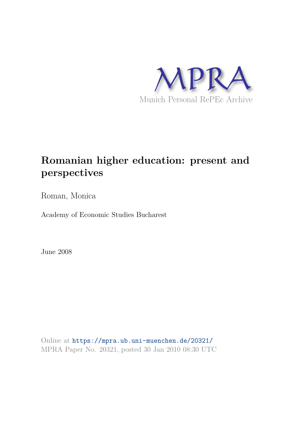

# **Romanian higher education: present and perspectives**

Roman, Monica

Academy of Economic Studies Bucharest

June 2008

Online at https://mpra.ub.uni-muenchen.de/20321/ MPRA Paper No. 20321, posted 30 Jan 2010 08:30 UTC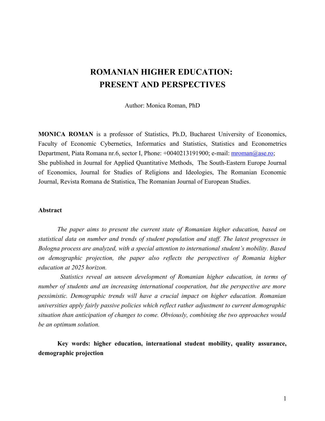## **ROMANIAN HIGHER EDUCATION: PRESENT AND PERSPECTIVES**

Author: Monica Roman, PhD

**MONICA ROMAN** is a professor of Statistics, Ph.D, Bucharest University of Economics, Faculty of Economic Cybernetics, Informatics and Statistics, Statistics and Econometrics Department, Piata Romana nr.6, sector I, Phone: +0040213191900; e-mail: mroman@ase.ro; She published in Journal for Applied Quantitative Methods, The South-Eastern Europe Journal of Economics, Journal for Studies of Religions and Ideologies, The Romanian Economic Journal, Revista Romana de Statistica, The Romanian Journal of European Studies.

#### **Abstract**

*The paper aims to present the current state of Romanian higher education, based on statistical data on number and trends of student population and staff. The latest progresses in Bologna process are analyzed, with a special attention to international student's mobility. Based on demographic projection, the paper also reflects the perspectives of Romania higher education at 2025 horizon.*

 *Statistics reveal an unseen development of Romanian higher education, in terms of number of students and an increasing international cooperation, but the perspective are more pessimistic. Demographic trends will have a crucial impact on higher education. Romanian universities apply fairly passive policies which reflect rather adjustment to current demographic situation than anticipation of changes to come. Obviously, combining the two approaches would be an optimum solution.*

**Key words: higher education, international student mobility, quality assurance, demographic projection**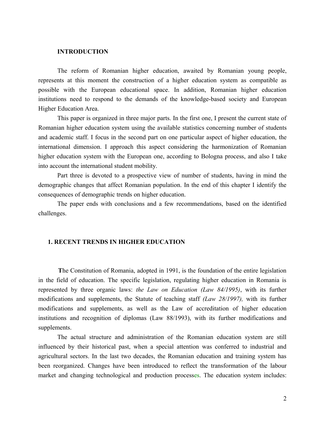#### **INTRODUCTION**

The reform of Romanian higher education, awaited by Romanian young people, represents at this moment the construction of a higher education system as compatible as possible with the European educational space. In addition, Romanian higher education institutions need to respond to the demands of the knowledge-based society and European Higher Education Area.

This paper is organized in three major parts. In the first one, I present the current state of Romanian higher education system using the available statistics concerning number of students and academic staff. I focus in the second part on one particular aspect of higher education, the international dimension. I approach this aspect considering the harmonization of Romanian higher education system with the European one, according to Bologna process, and also I take into account the international student mobility.

Part three is devoted to a prospective view of number of students, having in mind the demographic changes that affect Romanian population. In the end of this chapter I identify the consequences of demographic trends on higher education.

The paper ends with conclusions and a few recommendations, based on the identified challenges.

#### **1. RECENT TRENDS IN HIGHER EDUCATION**

 **T**he Constitution of Romania, adopted in 1991, is the foundation of the entire legislation in the field of education. The specific legislation, regulating higher education in Romania is represented by three organic laws: *the Law on Education (Law 84/1995)*, with its further modifications and supplements, the Statute of teaching staff *(Law 28/1997),* with its further modifications and supplements, as well as the Law of accreditation of higher education institutions and recognition of diplomas (Law 88/1993), with its further modifications and supplements.

The actual structure and administration of the Romanian education system are still influenced by their historical past, when a special attention was conferred to industrial and agricultural sectors. In the last two decades, the Romanian education and training system has been reorganized. Changes have been introduced to reflect the transformation of the labour market and changing technological and production processes. The education system includes: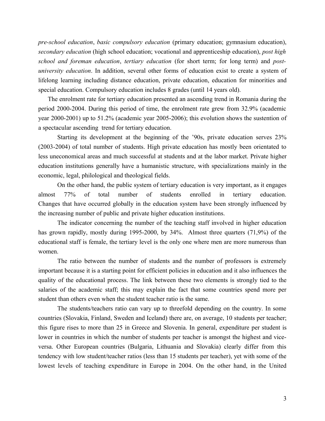*pre-school education*, *basic compulsory education* (primary education; gymnasium education), *secondary education* (high school education; vocational and apprenticeship education), *post high school and foreman education*, *tertiary education* (for short term; for long term) and *postuniversity education*. In addition, several other forms of education exist to create a system of lifelong learning including distance education, private education, education for minorities and special education. Compulsory education includes 8 grades (until 14 years old).

The enrolment rate for tertiary education presented an ascending trend in Romania during the period 2000-2004. During this period of time, the enrolment rate grew from 32.9% (academic year 2000-2001) up to 51.2% (academic year 2005-2006); this evolution shows the sustention of a spectacular ascending trend for tertiary education.

 Starting its development at the beginning of the '90s, private education serves 23% (2003-2004) of total number of students. High private education has mostly been orientated to less uneconomical areas and much successful at students and at the labor market. Private higher education institutions generally have a humanistic structure, with specializations mainly in the economic, legal, philological and theological fields.

On the other hand, the public system of tertiary education is very important, as it engages almost 77% of total number of students enrolled in tertiary education. Changes that have occurred globally in the education system have been strongly influenced by the increasing number of public and private higher education institutions.

The indicator concerning the number of the teaching staff involved in higher education has grown rapidly, mostly during 1995-2000, by 34%. Almost three quarters (71,9%) of the educational staff is female, the tertiary level is the only one where men are more numerous than women.

The ratio between the number of students and the number of professors is extremely important because it is a starting point for efficient policies in education and it also influences the quality of the educational process. The link between these two elements is strongly tied to the salaries of the academic staff; this may explain the fact that some countries spend more per student than others even when the student teacher ratio is the same.

The students/teachers ratio can vary up to threefold depending on the country. In some countries (Slovakia, Finland, Sweden and Iceland) there are, on average, 10 students per teacher; this figure rises to more than 25 in Greece and Slovenia. In general, expenditure per student is lower in countries in which the number of students per teacher is amongst the highest and viceversa. Other European countries (Bulgaria, Lithuania and Slovakia) clearly differ from this tendency with low student/teacher ratios (less than 15 students per teacher), yet with some of the lowest levels of teaching expenditure in Europe in 2004. On the other hand, in the United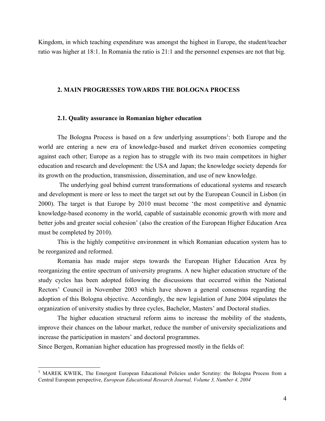Kingdom, in which teaching expenditure was amongst the highest in Europe, the student/teacher ratio was higher at 18:1. In Romania the ratio is 21:1 and the personnel expenses are not that big.

#### **2. MAIN PROGRESSES TOWARDS THE BOLOGNA PROCESS**

#### **2.1. Quality assurance in Romanian higher education**

The Bologna Process is based on a few underlying assumptions<sup>1</sup>: both Europe and the world are entering a new era of knowledge-based and market driven economies competing against each other; Europe as a region has to struggle with its two main competitors in higher education and research and development: the USA and Japan; the knowledge society depends for its growth on the production, transmission, dissemination, and use of new knowledge.

 The underlying goal behind current transformations of educational systems and research and development is more or less to meet the target set out by the European Council in Lisbon (in 2000). The target is that Europe by 2010 must become 'the most competitive and dynamic knowledge-based economy in the world, capable of sustainable economic growth with more and better jobs and greater social cohesion' (also the creation of the European Higher Education Area must be completed by 2010).

This is the highly competitive environment in which Romanian education system has to be reorganized and reformed.

Romania has made major steps towards the European Higher Education Area by reorganizing the entire spectrum of university programs. A new higher education structure of the study cycles has been adopted following the discussions that occurred within the National Rectors' Council in November 2003 which have shown a general consensus regarding the adoption of this Bologna objective. Accordingly, the new legislation of June 2004 stipulates the organization of university studies by three cycles, Bachelor, Masters' and Doctoral studies.

The higher education structural reform aims to increase the mobility of the students, improve their chances on the labour market, reduce the number of university specializations and increase the participation in masters' and doctoral programmes.

Since Bergen, Romanian higher education has progressed mostly in the fields of:

<sup>&</sup>lt;sup>1</sup> MAREK KWIEK, The Emergent European Educational Policies under Scrutiny: the Bologna Process from a Central European perspective, *European Educational Research Journal, Volume 3, Number 4, 2004*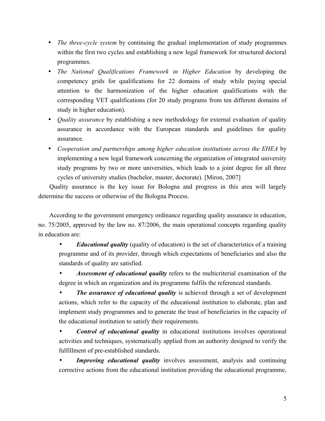- *The three-cycle system* by continuing the gradual implementation of study programmes within the first two cycles and establishing a new legal framework for structured doctoral programmes.
- *The National Qualifications Framework in Higher Education* by developing the competency grids for qualifications for 22 domains of study while paying special attention to the harmonization of the higher education qualifications with the corresponding VET qualifications (for 20 study programs from ten different domains of study in higher education).
- *Quality assurance* by establishing a new methodology for external evaluation of quality assurance in accordance with the European standards and guidelines for quality assurance.
- *Cooperation and partnerships among higher education institutions across the EHEA* by implementing a new legal framework concerning the organization of integrated university study programs by two or more universities, which leads to a joint degree for all three cycles of university studies (bachelor, master, doctorate). [Miron, 2007]

Quality assurance is the key issue for Bologna and progress in this area will largely determine the success or otherwise of the Bologna Process.

According to the government emergency ordinance regarding quality assurance in education, no. 75/2005, approved by the law no. 87/2006, the main operational concepts regarding quality in education are:

• *Educational quality* (quality of education) is the set of characteristics of a training programme and of its provider, through which expectations of beneficiaries and also the standards of quality are satisfied.

• *Assessment of educational quality* refers to the multicriterial examination of the degree in which an organization and its programme fulfils the referenced standards.

*The assurance of educational quality* is achieved through a set of development actions, which refer to the capacity of the educational institution to elaborate, plan and implement study programmes and to generate the trust of beneficiaries in the capacity of the educational institution to satisfy their requirements.

• *Control of educational quality* in educational institutions involves operational activities and techniques, systematically applied from an authority designed to verify the fulfillment of pre-established standards.

*Improving educational quality* involves assessment, analysis and continuing corrective actions from the educational institution providing the educational programme,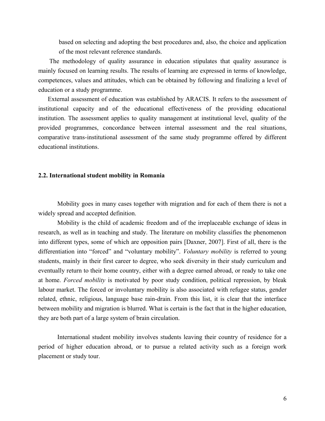based on selecting and adopting the best procedures and, also, the choice and application of the most relevant reference standards.

The methodology of quality assurance in education stipulates that quality assurance is mainly focused on learning results. The results of learning are expressed in terms of knowledge, competences, values and attitudes, which can be obtained by following and finalizing a level of education or a study programme.

External assessment of education was established by ARACIS. It refers to the assessment of institutional capacity and of the educational effectiveness of the providing educational institution. The assessment applies to quality management at institutional level, quality of the provided programmes, concordance between internal assessment and the real situations, comparative trans-institutional assessment of the same study programme offered by different educational institutions.

#### **2.2. International student mobility in Romania**

Mobility goes in many cases together with migration and for each of them there is not a widely spread and accepted definition.

Mobility is the child of academic freedom and of the irreplaceable exchange of ideas in research, as well as in teaching and study. The literature on mobility classifies the phenomenon into different types, some of which are opposition pairs [Daxner, 2007]. First of all, there is the differentiation into "forced" and "voluntary mobility". *Voluntary mobility* is referred to young students, mainly in their first career to degree, who seek diversity in their study curriculum and eventually return to their home country, either with a degree earned abroad, or ready to take one at home. *Forced mobility* is motivated by poor study condition, political repression, by bleak labour market. The forced or involuntary mobility is also associated with refugee status, gender related, ethnic, religious, language base rain-drain. From this list, it is clear that the interface between mobility and migration is blurred. What is certain is the fact that in the higher education, they are both part of a large system of brain circulation.

International student mobility involves students leaving their country of residence for a period of higher education abroad, or to pursue a related activity such as a foreign work placement or study tour.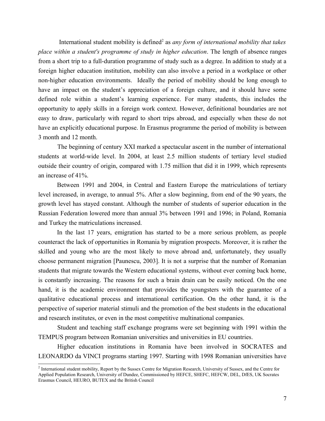International student mobility is defined<sup>2</sup> as *any form of international mobility that takes place within a student's programme of study in higher education*. The length of absence ranges from a short trip to a full-duration programme of study such as a degree. In addition to study at a foreign higher education institution, mobility can also involve a period in a workplace or other non-higher education environments. Ideally the period of mobility should be long enough to have an impact on the student's appreciation of a foreign culture, and it should have some defined role within a student's learning experience. For many students, this includes the opportunity to apply skills in a foreign work context. However, definitional boundaries are not easy to draw, particularly with regard to short trips abroad, and especially when these do not have an explicitly educational purpose. In Erasmus programme the period of mobility is between 3 month and 12 month.

The beginning of century XXI marked a spectacular ascent in the number of international students at world-wide level. In 2004, at least 2.5 million students of tertiary level studied outside their country of origin, compared with 1.75 million that did it in 1999, which represents an increase of 41%.

Between 1991 and 2004, in Central and Eastern Europe the matriculations of tertiary level increased, in average, to annual 5%. After a slow beginning, from end of the 90 years, the growth level has stayed constant. Although the number of students of superior education in the Russian Federation lowered more than annual 3% between 1991 and 1996; in Poland, Romania and Turkey the matriculations increased.

In the last 17 years, emigration has started to be a more serious problem, as people counteract the lack of opportunities in Romania by migration prospects. Moreover, it is rather the skilled and young who are the most likely to move abroad and, unfortunately, they usually choose permanent migration [Paunescu, 2003]. It is not a surprise that the number of Romanian students that migrate towards the Western educational systems, without ever coming back home, is constantly increasing. The reasons for such a brain drain can be easily noticed. On the one hand, it is the academic environment that provides the youngsters with the guarantee of a qualitative educational process and international certification. On the other hand, it is the perspective of superior material stimuli and the promotion of the best students in the educational and research institutes, or even in the most competitive multinational companies.

Student and teaching staff exchange programs were set beginning with 1991 within the TEMPUS program between Romanian universities and universities in EU countries.

Higher education institutions in Romania have been involved in SOCRATES and LEONARDO da VINCI programs starting 1997. Starting with 1998 Romanian universities have

<sup>&</sup>lt;sup>2</sup> International student mobility, Report by the Sussex Centre for Migration Research, University of Sussex, and the Centre for Applied Population Research, University of Dundee, Commissioned by HEFCE, SHEFC, HEFCW, DEL, DfES, UK Socrates Erasmus Council, HEURO, BUTEX and the British Council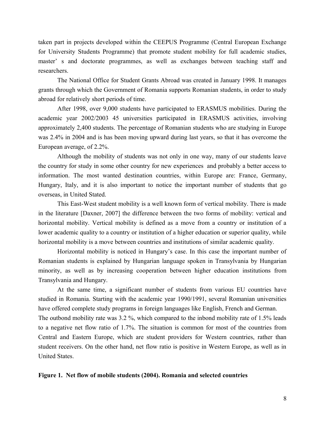taken part in projects developed within the CEEPUS Programme (Central European Exchange for University Students Programme) that promote student mobility for full academic studies, master' s and doctorate programmes, as well as exchanges between teaching staff and researchers.

The National Office for Student Grants Abroad was created in January 1998. It manages grants through which the Government of Romania supports Romanian students, in order to study abroad for relatively short periods of time.

After 1998, over 9,000 students have participated to ERASMUS mobilities. During the academic year 2002/2003 45 universities participated in ERASMUS activities, involving approximately 2,400 students. The percentage of Romanian students who are studying in Europe was 2.4% in 2004 and is has been moving upward during last years, so that it has overcome the European average, of 2.2%.

Although the mobility of students was not only in one way, many of our students leave the country for study in some other country for new experiences and probably a better access to information. The most wanted destination countries, within Europe are: France, Germany, Hungary, Italy, and it is also important to notice the important number of students that go overseas, in United Stated.

This East-West student mobility is a well known form of vertical mobility. There is made in the literature [Daxner, 2007] the difference between the two forms of mobility: vertical and horizontal mobility. Vertical mobility is defined as a move from a country or institution of a lower academic quality to a country or institution of a higher education or superior quality, while horizontal mobility is a move between countries and institutions of similar academic quality.

Horizontal mobility is noticed in Hungary's case. In this case the important number of Romanian students is explained by Hungarian language spoken in Transylvania by Hungarian minority, as well as by increasing cooperation between higher education institutions from Transylvania and Hungary.

At the same time, a significant number of students from various EU countries have studied in Romania. Starting with the academic year 1990/1991, several Romanian universities have offered complete study programs in foreign languages like English, French and German.

The outbond mobility rate was 3.2 %, which compared to the inbond mobility rate of 1.5% leads to a negative net flow ratio of 1.7%. The situation is common for most of the countries from Central and Eastern Europe, which are student providers for Western countries, rather than student receivers. On the other hand, net flow ratio is positive in Western Europe, as well as in United States.

#### **Figure 1. Net flow of mobile students (2004). Romania and selected countries**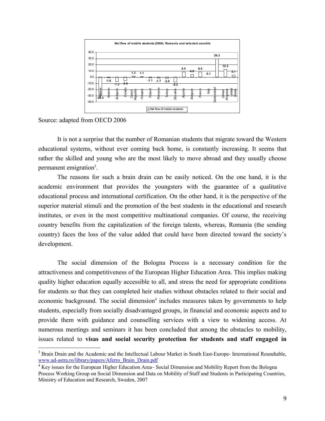

Source: adapted from OECD 2006

It is not a surprise that the number of Romanian students that migrate toward the Western educational systems, without ever coming back home, is constantly increasing. It seems that rather the skilled and young who are the most likely to move abroad and they usually choose permanent emigration<sup>3</sup>.

The reasons for such a brain drain can be easily noticed. On the one hand, it is the academic environment that provides the youngsters with the guarantee of a qualitative educational process and international certification. On the other hand, it is the perspective of the superior material stimuli and the promotion of the best students in the educational and research institutes, or even in the most competitive multinational companies. Of course, the receiving country benefits from the capitalization of the foreign talents, whereas, Romania (the sending country) faces the loss of the value added that could have been directed toward the society's development.

The social dimension of the Bologna Process is a necessary condition for the attractiveness and competitiveness of the European Higher Education Area. This implies making quality higher education equally accessible to all, and stress the need for appropriate conditions for students so that they can completed heir studies without obstacles related to their social and economic background. The social dimension<sup>4</sup> includes measures taken by governments to help students, especially from socially disadvantaged groups, in financial and economic aspects and to provide them with guidance and counselling services with a view to widening access. At numerous meetings and seminars it has been concluded that among the obstacles to mobility, issues related to **visas and social security protection for students and staff engaged in** 

<sup>&</sup>lt;sup>3</sup> Brain Drain and the Academic and the Intellectual Labour Market in South East-Europe- International Roundtable, www.ad-astra.ro/library/papers/Aferro\_Brain\_Drain.pdf

<sup>&</sup>lt;sup>4</sup> Key issues for the European Higher Education Area– Social Dimension and Mobility Report from the Bologna Process Working Group on Social Dimension and Data on Mobility of Staff and Students in Participating Countries, Ministry of Education and Research, Sweden, 2007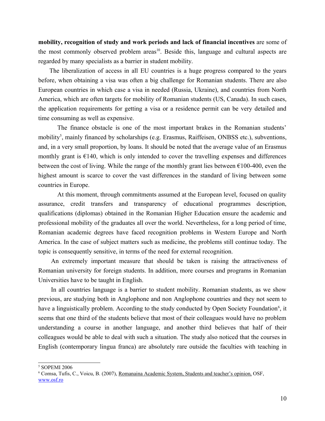**mobility, recognition of study and work periods and lack of financial incentives** are some of the most commonly observed problem areas<sup>10</sup>. Beside this, language and cultural aspects are regarded by many specialists as a barrier in student mobility.

The liberalization of access in all EU countries is a huge progress compared to the years before, when obtaining a visa was often a big challenge for Romanian students. There are also European countries in which case a visa in needed (Russia, Ukraine), and countries from North America, which are often targets for mobility of Romanian students (US, Canada). In such cases, the application requirements for getting a visa or a residence permit can be very detailed and time consuming as well as expensive.

The finance obstacle is one of the most important brakes in the Romanian students' mobility<sup>5</sup>, mainly financed by scholarships (e.g. Erasmus, Raiffeisen, ONBSS etc.), subventions, and, in a very small proportion, by loans. It should be noted that the average value of an Erasmus monthly grant is  $E140$ , which is only intended to cover the travelling expenses and differences between the cost of living. While the range of the monthly grant lies between  $\epsilon$ 100-400, even the highest amount is scarce to cover the vast differences in the standard of living between some countries in Europe.

At this moment, through commitments assumed at the European level, focused on quality assurance, credit transfers and transparency of educational programmes description, qualifications (diplomas) obtained in the Romanian Higher Education ensure the academic and professional mobility of the graduates all over the world. Nevertheless, for a long period of time, Romanian academic degrees have faced recognition problems in Western Europe and North America. In the case of subject matters such as medicine, the problems still continue today. The topic is consequently sensitive, in terms of the need for external recognition.

An extremely important measure that should be taken is raising the attractiveness of Romanian university for foreign students. In addition, more courses and programs in Romanian Universities have to be taught in English.

In all countries language is a barrier to student mobility. Romanian students, as we show previous, are studying both in Anglophone and non Anglophone countries and they not seem to have a linguistically problem. According to the study conducted by Open Society Foundation<sup>6</sup>, it seems that one third of the students believe that most of their colleagues would have no problem understanding a course in another language, and another third believes that half of their colleagues would be able to deal with such a situation. The study also noticed that the courses in English (contemporary lingua franca) are absolutely rare outside the faculties with teaching in

<sup>5</sup> SOPEMI 2006

<sup>&</sup>lt;sup>6</sup> Comsa, Tufis, C., Voicu, B. (2007), <u>Romanaina Academic System, Students and teacher's opinion,</u> OSF, www.osf.ro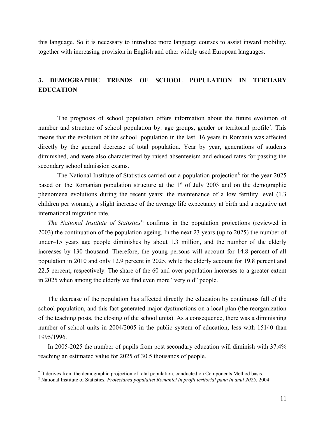this language. So it is necessary to introduce more language courses to assist inward mobility, together with increasing provision in English and other widely used European languages.

### **3. DEMOGRAPHIC TRENDS OF SCHOOL POPULATION IN TERTIARY EDUCATION**

The prognosis of school population offers information about the future evolution of number and structure of school population by: age groups, gender or territorial profile<sup>7</sup>. This means that the evolution of the school population in the last 16 years in Romania was affected directly by the general decrease of total population. Year by year, generations of students diminished, and were also characterized by raised absenteeism and educed rates for passing the secondary school admission exams.

The National Institute of Statistics carried out a population projection<sup>8</sup> for the year 2025 based on the Romanian population structure at the  $1<sup>st</sup>$  of July 2003 and on the demographic phenomena evolutions during the recent years: the maintenance of a low fertility level (1.3 children per woman), a slight increase of the average life expectancy at birth and a negative net international migration rate.

*The National Institute of Statistics*<sup>18</sup> confirms in the population projections (reviewed in 2003) the continuation of the population ageing. In the next 23 years (up to 2025) the number of under–15 years age people diminishes by about 1.3 million, and the number of the elderly increases by 130 thousand. Therefore, the young persons will account for 14.8 percent of all population in 2010 and only 12.9 percent in 2025, while the elderly account for 19.8 percent and 22.5 percent, respectively. The share of the 60 and over population increases to a greater extent in 2025 when among the elderly we find even more "very old" people.

The decrease of the population has affected directly the education by continuous fall of the school population, and this fact generated major dysfunctions on a local plan (the reorganization of the teaching posts, the closing of the school units). As a consequence, there was a diminishing number of school units in 2004/2005 in the public system of education, less with 15140 than 1995/1996.

In 2005-2025 the number of pupils from post secondary education will diminish with 37.4% reaching an estimated value for 2025 of 30.5 thousands of people.

<sup>7</sup> It derives from the demographic projection of total population, conducted on Components Method basis.

<sup>8</sup> National Institute of Statistics, *Proiectarea populatiei Romaniei in profil teritorial pana in anul 2025*, 2004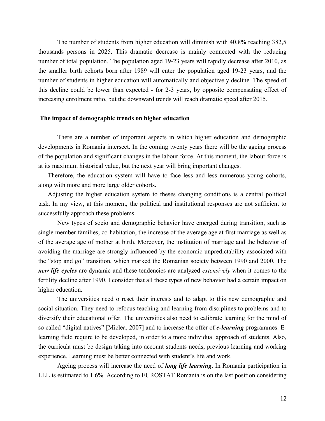The number of students from higher education will diminish with 40.8% reaching 382,5 thousands persons in 2025. This dramatic decrease is mainly connected with the reducing number of total population. The population aged 19-23 years will rapidly decrease after 2010, as the smaller birth cohorts born after 1989 will enter the population aged 19-23 years, and the number of students in higher education will automatically and objectively decline. The speed of this decline could be lower than expected - for 2-3 years, by opposite compensating effect of increasing enrolment ratio, but the downward trends will reach dramatic speed after 2015.

#### **The impact of demographic trends on higher education**

There are a number of important aspects in which higher education and demographic developments in Romania intersect. In the coming twenty years there will be the ageing process of the population and significant changes in the labour force. At this moment, the labour force is at its maximum historical value, but the next year will bring important changes.

Therefore, the education system will have to face less and less numerous young cohorts, along with more and more large older cohorts.

Adjusting the higher education system to theses changing conditions is a central political task. In my view, at this moment, the political and institutional responses are not sufficient to successfully approach these problems.

New types of socio and demographic behavior have emerged during transition, such as single member families, co-habitation, the increase of the average age at first marriage as well as of the average age of mother at birth. Moreover, the institution of marriage and the behavior of avoiding the marriage are strongly influenced by the economic unpredictability associated with the "stop and go" transition, which marked the Romanian society between 1990 and 2000. The *new life cycles* are dynamic and these tendencies are analyzed *extensively* when it comes to the fertility decline after 1990. I consider that all these types of new behavior had a certain impact on higher education.

The universities need o reset their interests and to adapt to this new demographic and social situation. They need to refocus teaching and learning from disciplines to problems and to diversify their educational offer. The universities also need to calibrate learning for the mind of so called "digital natives" [Miclea, 2007] and to increase the offer of *e-learning* programmes. Elearning field require to be developed, in order to a more individual approach of students. Also, the curricula must be design taking into account students needs, previous learning and working experience. Learning must be better connected with student's life and work.

Ageing process will increase the need of *long life learning*. In Romania participation in LLL is estimated to 1.6%. According to EUROSTAT Romania is on the last position considering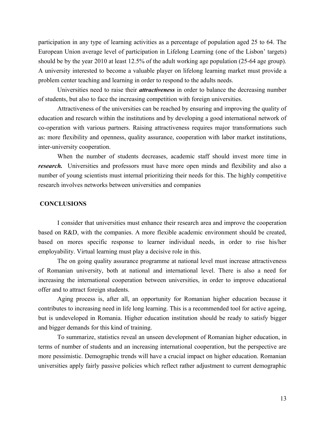participation in any type of learning activities as a percentage of population aged 25 to 64. The European Union average level of participation in Lifelong Learning (one of the Lisbon' targets) should be by the year 2010 at least 12.5% of the adult working age population (25-64 age group). A university interested to become a valuable player on lifelong learning market must provide a problem center teaching and learning in order to respond to the adults needs.

Universities need to raise their *attractiveness* in order to balance the decreasing number of students, but also to face the increasing competition with foreign universities.

Attractiveness of the universities can be reached by ensuring and improving the quality of education and research within the institutions and by developing a good international network of co-operation with various partners. Raising attractiveness requires major transformations such as: more flexibility and openness, quality assurance, cooperation with labor market institutions, inter-university cooperation.

When the number of students decreases, academic staff should invest more time in *research*. Universities and professors must have more open minds and flexibility and also a number of young scientists must internal prioritizing their needs for this. The highly competitive research involves networks between universities and companies

#### **CONCLUSIONS**

I consider that universities must enhance their research area and improve the cooperation based on R&D, with the companies. A more flexible academic environment should be created, based on mores specific response to learner individual needs, in order to rise his/her employability. Virtual learning must play a decisive role in this.

The on going quality assurance programme at national level must increase attractiveness of Romanian university, both at national and international level. There is also a need for increasing the international cooperation between universities, in order to improve educational offer and to attract foreign students.

Aging process is, after all, an opportunity for Romanian higher education because it contributes to increasing need in life long learning. This is a recommended tool for active ageing, but is undeveloped in Romania. Higher education institution should be ready to satisfy bigger and bigger demands for this kind of training.

To summarize, statistics reveal an unseen development of Romanian higher education, in terms of number of students and an increasing international cooperation, but the perspective are more pessimistic. Demographic trends will have a crucial impact on higher education. Romanian universities apply fairly passive policies which reflect rather adjustment to current demographic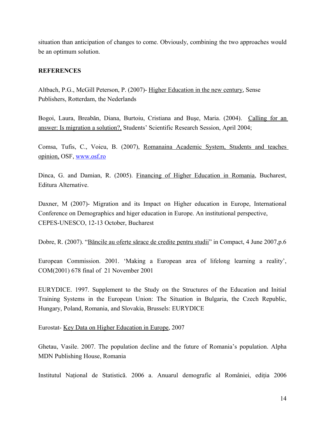situation than anticipation of changes to come. Obviously, combining the two approaches would be an optimum solution.

#### **REFERENCES**

Altbach, P.G., McGill Peterson, P. (2007)- Higher Education in the new century, Sense Publishers, Rotterdam, the Nederlands

Bogoi, Laura, Breabăn, Diana, Burtoiu, Cristiana and Bușe, Maria. (2004). Calling for an answer: Is migration a solution?, Students' Scientific Research Session, April 2004;

Comsa, Tufis, C., Voicu, B. (2007), Romanaina Academic System, Students and teaches opinion, OSF, www.osf.ro

Dinca, G. and Damian, R. (2005). Financing of Higher Education in Romania, Bucharest, Editura Alternative.

Daxner, M (2007)- Migration and its Impact on Higher education in Europe, International Conference on Demographics and higer education in Europe. An institutional perspective, CEPES-UNESCO, 12-13 October, Bucharest

Dobre, R. (2007). "Băncile au oferte sărace de credite pentru studii" in Compact, 4 June 2007, p.6

European Commission. 2001. 'Making a European area of lifelong learning a reality', COM(2001) 678 final of 21 November 2001

EURYDICE. 1997. Supplement to the Study on the Structures of the Education and Initial Training Systems in the European Union: The Situation in Bulgaria, the Czech Republic, Hungary, Poland, Romania, and Slovakia, Brussels: EURYDICE

Eurostat- Key Data on Higher Education in Europe, 2007

Ghetau, Vasile. 2007. The population decline and the future of Romania's population. Alpha MDN Publishing House, Romania

Institutul Naţional de Statistică. 2006 a. Anuarul demografic al României, ediţia 2006